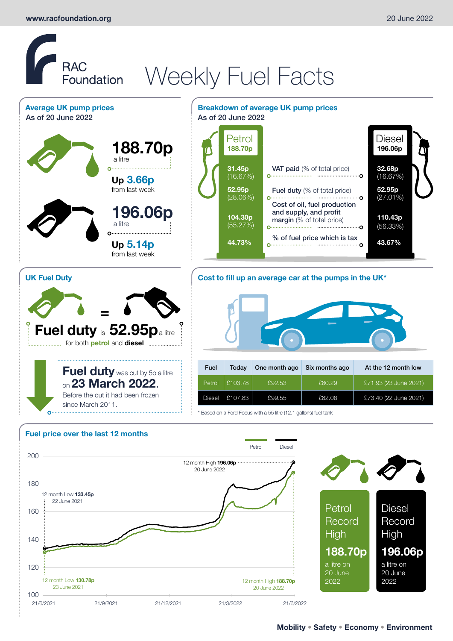**UK Fuel Duty**

## **RAC** RAC<br>Foundation Weekly Fuel Facts **Average UK pump prices Breakdown of average UK pump prices** As of 20 June 2022 **As of 20 June 2022 188.70p 188.70p 196.06p** a litre

**Up 3.66p** from last week

**Up 5.14p** from last week

a litre

**=**

**Fuel duty** is **52.95p**a litre

since March 2011.

....... for both **petrol** and **diesel** .......................

**Fuel duty** was cut by 5p a litre on **23 March 2022**. Before the cut it had been frozen

**196.06p**



#### **Cost to fill up an average car at the pumps in the UK\***



\* Based on a Ford Focus with a 55 litre (12.1 gallons) fuel tank